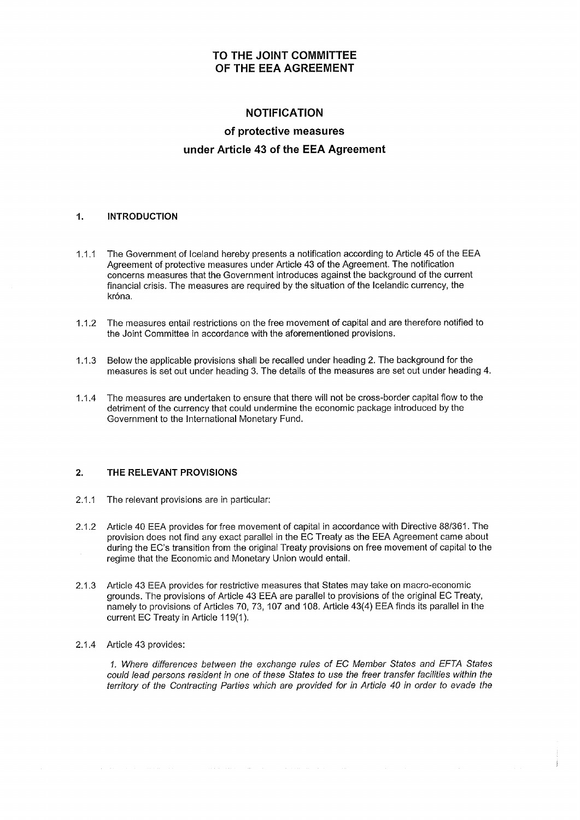## TO THE JOINT COMMITTEE OF THE EEA AGREEMENT

# NOTIFICATION of protective measures under Article 43 of the EEA Agreement

## 1. INTRODUCTION

- 1.1.1 The Government of lceland hereby presents a notification according to Article 45 of the EEA Agreement of protective measures under Article 43 of the Agreement. The notification concerns measures that the Government introduces against the background of the current financial crisis. The measures are required by the situation of the lcelandic currency, the króna.
- 1.1.2 The measures entail restrictions on the free movement of capital and are therefore notifíed to the Joint Committee in accordance with the aforementioned provisions.
- 1.1.3 Below the applicable provisions shall be recalled under heading 2. The background for the measures is set out under heading 3. The details of the measures are set out under heading 4.
- 1.1.4 The measures are undertaken to ensure that there will not be cross-border capital flow to the detriment of the currency that could undermine the economic package introduced by the Government to the lnternational Monetary Fund.

## 2. THE RELEVANT PROVISIONS

- 2.1.1 The relevant provisions are in particular:
- 2.1.2 Article 40 EEA provides for free movement of capital in accordance with Directive 88/361. The provision does not find any exact parallel in the EC Treaty as the EEA Agreement came about during the EC's transition from the original Treaty provisions on free movement of capital to the regime that the Economic and Monetary Union would entail.
- 2.1.3 Article 43 EEA provides for restrictive measures that States may take on macro-economic grounds. The provisions of Article 43 EEA are parallel to provisions of the original EC Treaty, namely to provisions of Articles 70,73, 107 and 108. Article 43(4) EEA finds its parallel in the current EC Treaty in Article 119(1).

 $\{x,y,z\}$  is a set of  $\{x,y,z\}$  . Then  $\{x,y,z\}$ 

## 2.1.4 Article 43 provides:

1. Where differences between the exchange rules of EC Member States and EFTA States could lead persons resident in one of these Sfafes to use the freer transfer facílities within the tenitory of the Contracting Parties which are provided for in Article 40 in order to evade the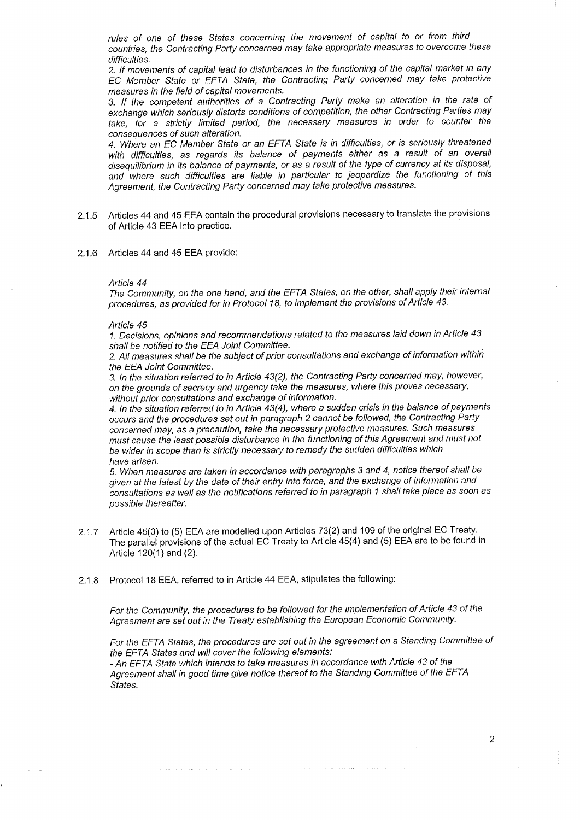rules of one of fhese Sfafes concerning the movement of capital to or from third countries, the Contracting Party concerned may take appropriate measures to overcome these difficulties.

2. If movements of capital lead to disturbances in the functioning of the capital market in any EC Member Sfafe or EFTA State, the Contracting Party concerned may take protective measures in the field of capital movements.

3. tf the competent authorities of a Contracting Party make an alteration in the rate of exchange which seriously distorts conditions of competition, the other Contracting Parties may take, for a strictly limited period, the necessary measures in order to counter the consequences of such alteration.

4. Where an EC Member State or an EFTA State is in difficulties, or is seriously threatened with difficulties, as regards its balance of payments either as a result of an overall disequilibrium in its balance of payments, or as a result of the type of currency at its disposal, and where such difficutties are líable in particular to jeopardíze the functioning of this Agreement, the Contracting Party concerned may take protective measures.

- 2.1.5 Articles 44 and 45 EEA contain the procedural provisions necessary to translate the provisions of Article 43 EEA into practice.
- 2.1.6 Articles 44 and 45 EEA provide:

#### Article 44

The Community, on the one hand, and the EFTA States, on the other, shall apply their internal procedures, as provided for in Protocol 18, to implement the provisions of Article 43.

#### Article 45

1. Decisions, opinions and recommendations related to the measures laid down in Article 43 shall be notified to the EEA Joínt Committee.

2. All measures shall be the subject of prior consultations and exchange of information within the EEA Joint Committee.

3. In the situation referred to in Article 43(2), the Contracting Party concerned may, however, on the grounds of secrecy and urgency take the measures, where this proves necessary, without prior consultations and exchange of information.

4. In the situation referred to in Article 43(4), where a sudden crisis in the balance of payments occurs and the procedures set out in paragraph 2 cannot be followed, the Contracting Party concerned may, as a precaution, take the necessary protective measures. Such measures must cause the least possible disturbance in the functioning of this Agreement and must not be wider in scope than is strictly necessary to remedy the sudden difficulties which have arisen.

5. When measures are taken in accordance with paragraphs 3 and 4, notice thereof shall be given at the latest by the date of their entry into farce, and the exchange of information and consultations as well as the notifications referred to in paragraph 1 shall take place as soon as possib/e thereafter.

- 2.1.7 Article 45(3) to (5) EEA are modelled upon Articles 73(2) and 109 of the original EC Treaty. The parallel provisions of the actual EC Treaty to Article 45(4) and (5) EEA are to be found in Article 120(1) and (2).
- 2.1 .8 Protocol 1S EEA, referred to in Article 44 EEA, stipulates the following:

For the Community, the procedures to be followed for the implementation of Article 43 of the Agreement are set out in the Treaty establishing the European Economic Community.

For the EFTA States, the procedures are set out in the agreement on a Standing Committee of the EFTA Sfafes and will cover the following elements: - An EFTA State which intends to take measures in accordance with Article 43 of the

Agreement shall in good time give notice thereof to the Standing Committee of the EFTA States.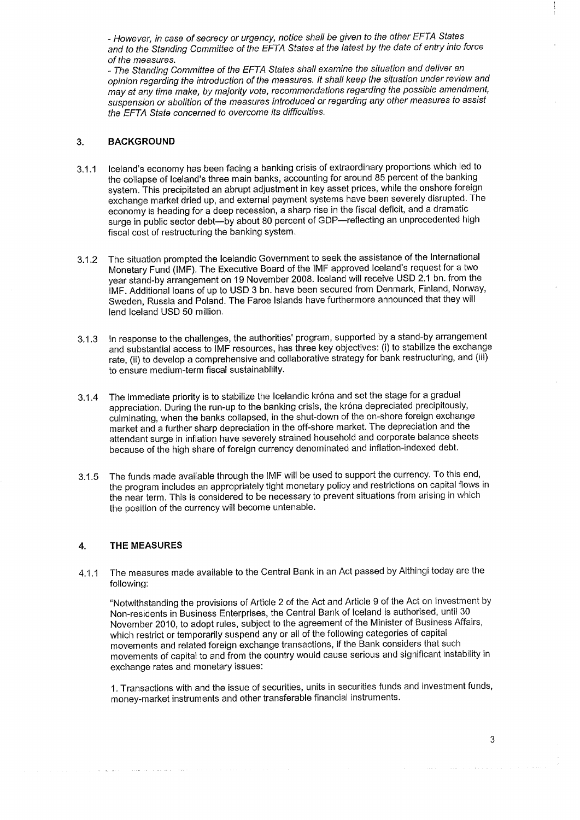- However, in case of secrecy or urgency, notice shall be given to the other EFTA States and to the Standing Committee of the EFTA States at the latest by the date of entry into force of the measures.

- The Standing Committee of the EFTA Sfafes shall examine the situation and deliver an opinion regarãing the introduction of the measures. lt shall keep the situatíon under review and may at any time make, by majority vote, recommendations regarding the possible amendment, suspension or abolition of the measures introduced or regarding any other measures to assist the EFTA State concerned to overcome its difficulties.

### 3. BACKGROUND

- 2.1.1 lceland's economy has been facing a banking crisis of extraordinary proportions which led to the collapse of lceland's three main banks, accounting for around 85 percent of the banking system, This precipitated an abrupt adjustment in key asset prices, while the onshore foreign exchange market dried up, and external payment systems have been severely disrupted. The economy is heading for a deep recession, a sharp rise in the fiscal deficit, and a dramatic surge in public sector debt--by about 80 percent of GDP--reflecting an unprecedented high fiscal cost of restructuring the banking system.
- g.1.2 The situation prompted the lcelandic Government to seek the assistance of the lnternational Monetary Fund (IMF). The Executive Board of the IMF approved Iceland's request for a two year stand-by arrangement on 19 November 2008. Iceland will receive USD 2.1 bn. from the IMF. Additional loans of up to USD 3 bn. have been secured from Denmark, Finland, Norway, Sweden, Russia and Poland. The Faroe lslands have furthermore announced that they will lend lceland USD 50 million.
- 3.1.3 ln response to the challenges, the authorities' program, supported by a stand-by arrangement and substantial access to IMF resources, has three key objectives: (i) to stabilize the exchange rate, (ii) to develop a comprehensive and collaborative strategy for bank restructuring, and (iii) to ensure medium-term fiscal sustainability.
- g.1.4 The immediate priority is to stabilize the lcelandic króna and set the stage for a gradual appreciation. During the run-up to the banking crisis, the króna depreciated precipitously, cuiminating, when the banks collapsed, in the shut-down of the on-shore foreign exchange market and a further sharp depreciation in the off-shore market. The depreciation and the attendant surge in inflation have severely strained household and corporate balance sheets because of the high share of foreign currency denominated and inflation-indexed debt.
- g.1.b The funds made available through the IMF will be used to support the currency. To this end, the program includes an appropriately tight monetary policy and restrictions on capital flows in the near term. This is considered to be necessary to prevent situations from arising in which the position of the currency will become untenable.

## 4. THE MEASURES

4.1.1 The measures made available to the Central Bank in an Act passed by Althingi today are the following:

"Notwithstanding the provisions of Article 2 of the Act and Article 9 of the Act on lnvestment by Non-residents in Business Enterprises, the Central Bank of lceland is authorised, until 30 November 2010, to adopt rules, subject to the agreement of the Minister of Business Affairs, which restrict or temporarily suspend any or all of the following categories of capital movements and related foreign exchange transactions, if the Bank considers that such movements of capital to and from the country would cause serious and significant instability in exchange rates and monetary issues:

1. Transactions with and the issue of securities, units in securities funds and investment funds, money-market instruments and other transferable financial instruments.